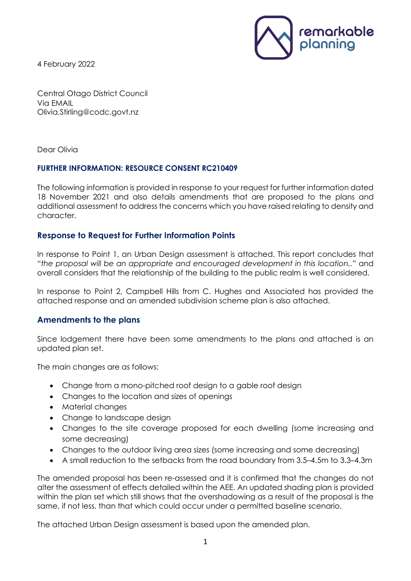4 February 2022



Central Otago District Council Via EMAIL Olivia.Stirling@codc.govt.nz

Dear Olivia

# **FURTHER INFORMATION: RESOURCE CONSENT RC210409**

The following information is provided in response to your request for further information dated 18 November 2021 and also details amendments that are proposed to the plans and additional assessment to address the concerns which you have raised relating to density and character.

# **Response to Request for Further Information Points**

In response to Point 1, an Urban Design assessment is attached. This report concludes that "*the proposal will be an appropriate and encouraged development in this location.."* and overall considers that the relationship of the building to the public realm is well considered.

In response to Point 2, Campbell Hills from C. Hughes and Associated has provided the attached response and an amended subdivision scheme plan is also attached.

# **Amendments to the plans**

Since lodgement there have been some amendments to the plans and attached is an updated plan set.

The main changes are as follows:

- Change from a mono-pitched roof design to a gable roof design
- Changes to the location and sizes of openings
- Material changes
- Change to landscape design
- Changes to the site coverage proposed for each dwelling (some increasing and some decreasing)
- Changes to the outdoor living area sizes (some increasing and some decreasing)
- A small reduction to the setbacks from the road boundary from 3.5–4.5m to 3.3–4.3m

The amended proposal has been re-assessed and it is confirmed that the changes do not alter the assessment of effects detailed within the AEE. An updated shading plan is provided within the plan set which still shows that the overshadowing as a result of the proposal is the same, if not less, than that which could occur under a permitted baseline scenario.

The attached Urban Design assessment is based upon the amended plan.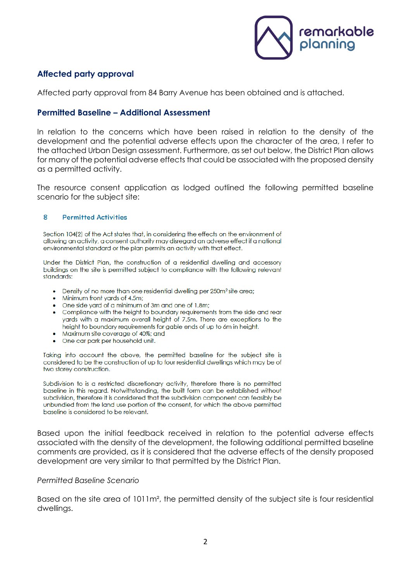

# **Affected party approval**

Affected party approval from 84 Barry Avenue has been obtained and is attached.

## **Permitted Baseline – Additional Assessment**

In relation to the concerns which have been raised in relation to the density of the development and the potential adverse effects upon the character of the area, I refer to the attached Urban Design assessment. Furthermore, as set out below, the District Plan allows for many of the potential adverse effects that could be associated with the proposed density as a permitted activity.

The resource consent application as lodged outlined the following permitted baseline scenario for the subject site:

#### $\mathbf{R}$ **Permitted Activities**

Section 104(2) of the Act states that, in considering the effects on the environment of allowing an activity, a consent authority may disregard an adverse effect if a national environmental standard or the plan permits an activity with that effect.

Under the District Plan, the construction of a residential dwelling and accessory buildings on the site is permitted subject to compliance with the following relevant standards:

- Density of no more than one residential dwelling per 250m<sup>2</sup> site area;
- Minimum front yards of 4.5m;
- One side yard of a minimum of 3m and one of 1.8m;
- Compliance with the height to boundary requirements from the side and rear yards with a maximum overall height of 7.5m. There are exceptions to the height to boundary requirements for gable ends of up to 6m in height.
- Maximum site coverage of 40%; and
- One car park per household unit.

Taking into account the above, the permitted baseline for the subject site is considered to be the construction of up to four residential dwellings which may be of two storey construction.

Subdivision to is a restricted discretionary activity, therefore there is no permitted baseline in this regard. Notwithstanding, the built form can be established without subdivision, therefore it is considered that the subdivision component can feasibly be unbundled from the land use portion of the consent, for which the above permitted baseline is considered to be relevant

Based upon the initial feedback received in relation to the potential adverse effects associated with the density of the development, the following additional permitted baseline comments are provided, as it is considered that the adverse effects of the density proposed development are very similar to that permitted by the District Plan.

#### *Permitted Baseline Scenario*

Based on the site area of 1011m², the permitted density of the subject site is four residential dwellings.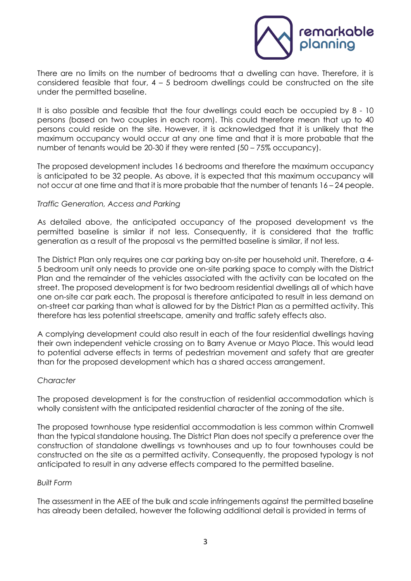

There are no limits on the number of bedrooms that a dwelling can have. Therefore, it is considered feasible that four,  $4 - 5$  bedroom dwellings could be constructed on the site under the permitted baseline.

It is also possible and feasible that the four dwellings could each be occupied by 8 - 10 persons (based on two couples in each room). This could therefore mean that up to 40 persons could reside on the site. However, it is acknowledged that it is unlikely that the maximum occupancy would occur at any one time and that it is more probable that the number of tenants would be 20-30 if they were rented (50 – 75% occupancy).

The proposed development includes 16 bedrooms and therefore the maximum occupancy is anticipated to be 32 people. As above, it is expected that this maximum occupancy will not occur at one time and that it is more probable that the number of tenants 16 – 24 people.

## *Traffic Generation, Access and Parking*

As detailed above, the anticipated occupancy of the proposed development vs the permitted baseline is similar if not less. Consequently, it is considered that the traffic generation as a result of the proposal vs the permitted baseline is similar, if not less.

The District Plan only requires one car parking bay on-site per household unit. Therefore, a 4- 5 bedroom unit only needs to provide one on-site parking space to comply with the District Plan and the remainder of the vehicles associated with the activity can be located on the street. The proposed development is for two bedroom residential dwellings all of which have one on-site car park each. The proposal is therefore anticipated to result in less demand on on-street car parking than what is allowed for by the District Plan as a permitted activity. This therefore has less potential streetscape, amenity and traffic safety effects also.

A complying development could also result in each of the four residential dwellings having their own independent vehicle crossing on to Barry Avenue or Mayo Place. This would lead to potential adverse effects in terms of pedestrian movement and safety that are greater than for the proposed development which has a shared access arrangement.

## *Character*

The proposed development is for the construction of residential accommodation which is wholly consistent with the anticipated residential character of the zoning of the site.

The proposed townhouse type residential accommodation is less common within Cromwell than the typical standalone housing. The District Plan does not specify a preference over the construction of standalone dwellings vs townhouses and up to four townhouses could be constructed on the site as a permitted activity. Consequently, the proposed typology is not anticipated to result in any adverse effects compared to the permitted baseline.

## *Built Form*

The assessment in the AEE of the bulk and scale infringements against the permitted baseline has already been detailed, however the following additional detail is provided in terms of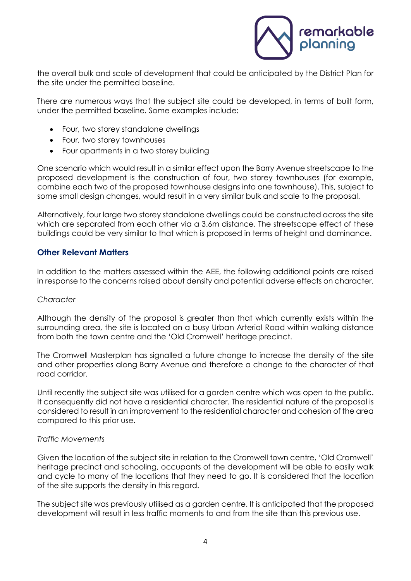

the overall bulk and scale of development that could be anticipated by the District Plan for the site under the permitted baseline.

There are numerous ways that the subject site could be developed, in terms of built form, under the permitted baseline. Some examples include:

- Four, two storey standalone dwellings
- Four, two storey townhouses
- Four apartments in a two storey building

One scenario which would result in a similar effect upon the Barry Avenue streetscape to the proposed development is the construction of four, two storey townhouses (for example, combine each two of the proposed townhouse designs into one townhouse). This, subject to some small design changes, would result in a very similar bulk and scale to the proposal.

Alternatively, four large two storey standalone dwellings could be constructed across the site which are separated from each other via a 3.6m distance. The streetscape effect of these buildings could be very similar to that which is proposed in terms of height and dominance.

# **Other Relevant Matters**

In addition to the matters assessed within the AEE, the following additional points are raised in response to the concerns raised about density and potential adverse effects on character.

## *Character*

Although the density of the proposal is greater than that which currently exists within the surrounding area, the site is located on a busy Urban Arterial Road within walking distance from both the town centre and the 'Old Cromwell' heritage precinct.

The Cromwell Masterplan has signalled a future change to increase the density of the site and other properties along Barry Avenue and therefore a change to the character of that road corridor.

Until recently the subject site was utilised for a garden centre which was open to the public. It consequently did not have a residential character. The residential nature of the proposal is considered to result in an improvement to the residential character and cohesion of the area compared to this prior use.

## *Traffic Movements*

Given the location of the subject site in relation to the Cromwell town centre, 'Old Cromwell' heritage precinct and schooling, occupants of the development will be able to easily walk and cycle to many of the locations that they need to go. It is considered that the location of the site supports the density in this regard.

The subject site was previously utilised as a garden centre. It is anticipated that the proposed development will result in less traffic moments to and from the site than this previous use.